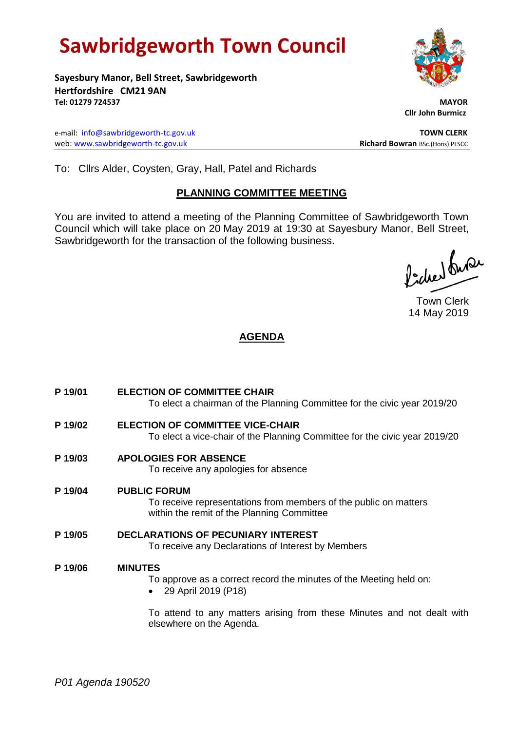# **Sawbridgeworth Town Council**

**Sayesbury Manor, Bell Street, Sawbridgeworth Hertfordshire CM21 9AN Tel: 01279 724537 MAYOR**

e-mail: [info@sawbridgeworth-tc.gov.uk](mailto:info@sawbridgeworth-tc.gov.uk) **TOWN CLERK** web: www.sawbridgeworth-tc.gov.uk<br> **Richard Bowran** BSc.(Hons) PLSCC

 **Cllr John Burmicz**

To: Cllrs Alder, Coysten, Gray, Hall, Patel and Richards

## **PLANNING COMMITTEE MEETING**

You are invited to attend a meeting of the Planning Committee of Sawbridgeworth Town Council which will take place on 20 May 2019 at 19:30 at Sayesbury Manor, Bell Street, Sawbridgeworth for the transaction of the following business.

Picked Super

Town Clerk 14 May 2019

# **AGENDA**

**P 19/01 ELECTION OF COMMITTEE CHAIR** To elect a chairman of the Planning Committee for the civic year 2019/20 **P 19/02 ELECTION OF COMMITTEE VICE-CHAIR** To elect a vice-chair of the Planning Committee for the civic year 2019/20 **P 19/03 APOLOGIES FOR ABSENCE** To receive any apologies for absence **P 19/04 PUBLIC FORUM** To receive representations from members of the public on matters within the remit of the Planning Committee **P 19/05 DECLARATIONS OF PECUNIARY INTEREST** To receive any Declarations of Interest by Members **P 19/06 MINUTES** To approve as a correct record the minutes of the Meeting held on: 29 April 2019 (P18) To attend to any matters arising from these Minutes and not dealt with

elsewhere on the Agenda.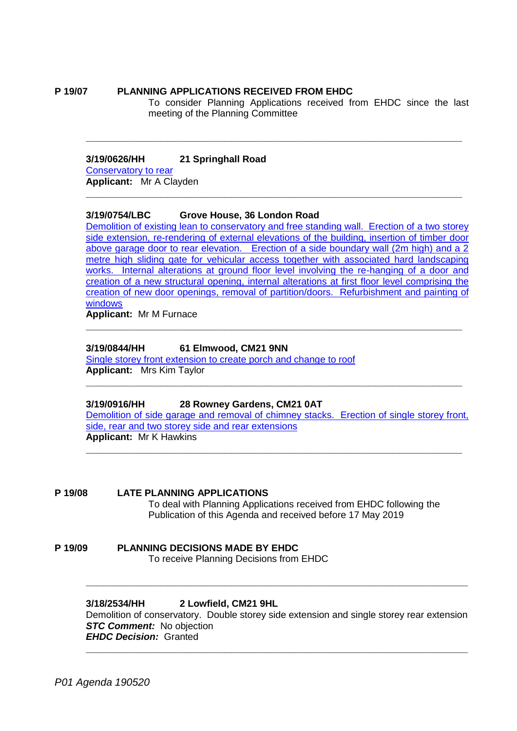#### **P 19/07 PLANNING APPLICATIONS RECEIVED FROM EHDC**

To consider Planning Applications received from EHDC since the last meeting of the Planning Committee

#### **3/19/0626/HH 21 Springhall Road**

[Conservatory to rear](https://publicaccess.eastherts.gov.uk/online-applications/applicationDetails.do?activeTab=documents&keyVal=POQ4JLGLIKY00) **Applicant:** Mr A Clayden

#### **3/19/0754/LBC Grove House, 36 London Road**

[Demolition of existing lean to conservatory and free standing wall. Erection of a two storey](https://publicaccess.eastherts.gov.uk/online-applications/applicationDetails.do?activeTab=documents&keyVal=PPNDQUGLIUD00)  [side extension, re-rendering of external elevations of the building, insertion of timber door](https://publicaccess.eastherts.gov.uk/online-applications/applicationDetails.do?activeTab=documents&keyVal=PPNDQUGLIUD00)  [above garage door to rear elevation. Erection of a side boundary wall \(2m high\) and a 2](https://publicaccess.eastherts.gov.uk/online-applications/applicationDetails.do?activeTab=documents&keyVal=PPNDQUGLIUD00)  [metre high sliding gate for vehicular access together with associated hard landscaping](https://publicaccess.eastherts.gov.uk/online-applications/applicationDetails.do?activeTab=documents&keyVal=PPNDQUGLIUD00)  [works. Internal alterations at ground floor level involving the re-hanging of a door and](https://publicaccess.eastherts.gov.uk/online-applications/applicationDetails.do?activeTab=documents&keyVal=PPNDQUGLIUD00)  creation of a new structural opening, [internal alterations at first floor level comprising the](https://publicaccess.eastherts.gov.uk/online-applications/applicationDetails.do?activeTab=documents&keyVal=PPNDQUGLIUD00)  [creation of new door openings, removal of partition/doors. Refurbishment and painting of](https://publicaccess.eastherts.gov.uk/online-applications/applicationDetails.do?activeTab=documents&keyVal=PPNDQUGLIUD00)  [windows](https://publicaccess.eastherts.gov.uk/online-applications/applicationDetails.do?activeTab=documents&keyVal=PPNDQUGLIUD00)

**\_\_\_\_\_\_\_\_\_\_\_\_\_\_\_\_\_\_\_\_\_\_\_\_\_\_\_\_\_\_\_\_\_\_\_\_\_\_\_\_\_\_\_\_\_\_\_\_\_\_\_\_\_\_\_\_\_\_\_\_\_\_\_\_\_**

**\_\_\_\_\_\_\_\_\_\_\_\_\_\_\_\_\_\_\_\_\_\_\_\_\_\_\_\_\_\_\_\_\_\_\_\_\_\_\_\_\_\_\_\_\_\_\_\_\_\_\_\_\_\_\_\_\_\_\_\_\_\_\_\_\_**

**\_\_\_\_\_\_\_\_\_\_\_\_\_\_\_\_\_\_\_\_\_\_\_\_\_\_\_\_\_\_\_\_\_\_\_\_\_\_\_\_\_\_\_\_\_\_\_\_\_\_\_\_\_\_\_\_\_\_\_\_\_\_\_\_\_**

**\_\_\_\_\_\_\_\_\_\_\_\_\_\_\_\_\_\_\_\_\_\_\_\_\_\_\_\_\_\_\_\_\_\_\_\_\_\_\_\_\_\_\_\_\_\_\_\_\_\_\_\_\_\_\_\_\_\_\_\_\_\_\_\_\_**

**Applicant:** Mr M Furnace

#### **3/19/0844/HH 61 Elmwood, CM21 9NN**

[Single storey front extension to create porch and change to roof](https://publicaccess.eastherts.gov.uk/online-applications/files/6704256F997F84CDB2B47AE367E967AE/pdf/3_19_0844_HH--1371945.pdf) **Applicant:** Mrs Kim Taylor

#### **3/19/0916/HH 28 Rowney Gardens, CM21 0AT**

[Demolition of side garage and removal of chimney stacks. Erection of single storey front,](https://publicaccess.eastherts.gov.uk/online-applications/applicationDetails.do?activeTab=documents&keyVal=PQTQTLGL00X00)  [side, rear and two storey side and rear extensions](https://publicaccess.eastherts.gov.uk/online-applications/applicationDetails.do?activeTab=documents&keyVal=PQTQTLGL00X00) **Applicant:** Mr K Hawkins

**\_\_\_\_\_\_\_\_\_\_\_\_\_\_\_\_\_\_\_\_\_\_\_\_\_\_\_\_\_\_\_\_\_\_\_\_\_\_\_\_\_\_\_\_\_\_\_\_\_\_\_\_\_\_\_\_\_\_\_\_\_\_\_\_\_**

#### **P 19/08 LATE PLANNING APPLICATIONS**

To deal with Planning Applications received from EHDC following the Publication of this Agenda and received before 17 May 2019

**P 19/09 PLANNING DECISIONS MADE BY EHDC** To receive Planning Decisions from EHDC

#### **3/18/2534/HH 2 Lowfield, CM21 9HL**

Demolition of conservatory. Double storey side extension and single storey rear extension *STC Comment:* No objection *EHDC Decision:* Granted **\_\_\_\_\_\_\_\_\_\_\_\_\_\_\_\_\_\_\_\_\_\_\_\_\_\_\_\_\_\_\_\_\_\_\_\_\_\_\_\_\_\_\_\_\_\_\_\_\_\_\_\_\_\_\_\_\_\_\_\_\_\_\_\_\_\_**

**\_\_\_\_\_\_\_\_\_\_\_\_\_\_\_\_\_\_\_\_\_\_\_\_\_\_\_\_\_\_\_\_\_\_\_\_\_\_\_\_\_\_\_\_\_\_\_\_\_\_\_\_\_\_\_\_\_\_\_\_\_\_\_\_\_\_**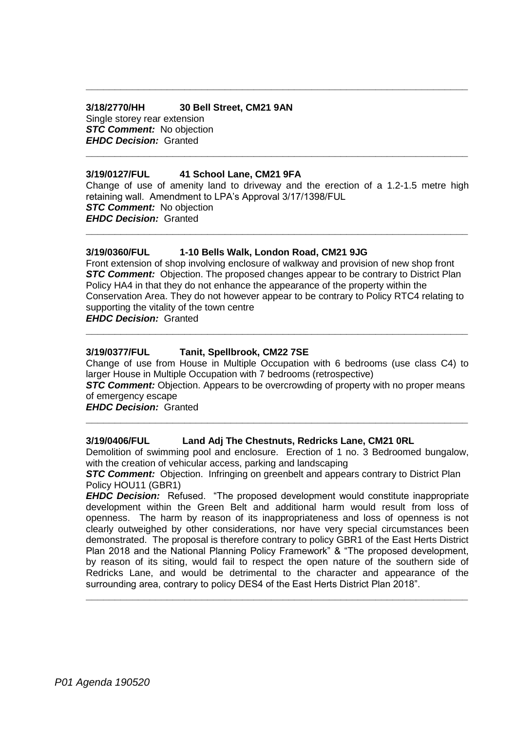### **3/18/2770/HH 30 Bell Street, CM21 9AN** Single storey rear extension *STC Comment:* No objection *EHDC Decision:* Granted

#### **3/19/0127/FUL 41 School Lane, CM21 9FA**

Change of use of amenity land to driveway and the erection of a 1.2-1.5 metre high retaining wall. Amendment to LPA's Approval 3/17/1398/FUL *STC Comment:* No objection *EHDC Decision:* Granted

**\_\_\_\_\_\_\_\_\_\_\_\_\_\_\_\_\_\_\_\_\_\_\_\_\_\_\_\_\_\_\_\_\_\_\_\_\_\_\_\_\_\_\_\_\_\_\_\_\_\_\_\_\_\_\_\_\_\_\_\_\_\_\_\_\_\_**

**\_\_\_\_\_\_\_\_\_\_\_\_\_\_\_\_\_\_\_\_\_\_\_\_\_\_\_\_\_\_\_\_\_\_\_\_\_\_\_\_\_\_\_\_\_\_\_\_\_\_\_\_\_\_\_\_\_\_\_\_\_\_\_\_\_\_**

**\_\_\_\_\_\_\_\_\_\_\_\_\_\_\_\_\_\_\_\_\_\_\_\_\_\_\_\_\_\_\_\_\_\_\_\_\_\_\_\_\_\_\_\_\_\_\_\_\_\_\_\_\_\_\_\_\_\_\_\_\_\_\_\_\_\_**

#### **3/19/0360/FUL 1-10 Bells Walk, London Road, CM21 9JG**

Front extension of shop involving enclosure of walkway and provision of new shop front **STC Comment:** Objection. The proposed changes appear to be contrary to District Plan Policy HA4 in that they do not enhance the appearance of the property within the Conservation Area. They do not however appear to be contrary to Policy RTC4 relating to supporting the vitality of the town centre

**\_\_\_\_\_\_\_\_\_\_\_\_\_\_\_\_\_\_\_\_\_\_\_\_\_\_\_\_\_\_\_\_\_\_\_\_\_\_\_\_\_\_\_\_\_\_\_\_\_\_\_\_\_\_\_\_\_\_\_\_\_\_\_\_\_\_**

*EHDC Decision:* Granted

#### **3/19/0377/FUL Tanit, Spellbrook, CM22 7SE**

Change of use from House in Multiple Occupation with 6 bedrooms (use class C4) to larger House in Multiple Occupation with 7 bedrooms (retrospective)

*STC Comment: Objection. Appears to be overcrowding of property with no proper means* of emergency escape

**\_\_\_\_\_\_\_\_\_\_\_\_\_\_\_\_\_\_\_\_\_\_\_\_\_\_\_\_\_\_\_\_\_\_\_\_\_\_\_\_\_\_\_\_\_\_\_\_\_\_\_\_\_\_\_\_\_\_\_\_\_\_\_\_\_\_**

*EHDC Decision:* Granted

#### **3/19/0406/FUL Land Adj The Chestnuts, Redricks Lane, CM21 0RL**

Demolition of swimming pool and enclosure. Erection of 1 no. 3 Bedroomed bungalow, with the creation of vehicular access, parking and landscaping

*STC Comment:* Objection. Infringing on greenbelt and appears contrary to District Plan Policy HOU11 (GBR1)

*EHDC Decision:* Refused. "The proposed development would constitute inappropriate development within the Green Belt and additional harm would result from loss of openness. The harm by reason of its inappropriateness and loss of openness is not clearly outweighed by other considerations, nor have very special circumstances been demonstrated. The proposal is therefore contrary to policy GBR1 of the East Herts District Plan 2018 and the National Planning Policy Framework" & "The proposed development, by reason of its siting, would fail to respect the open nature of the southern side of Redricks Lane, and would be detrimental to the character and appearance of the surrounding area, contrary to policy DES4 of the East Herts District Plan 2018".

**\_\_\_\_\_\_\_\_\_\_\_\_\_\_\_\_\_\_\_\_\_\_\_\_\_\_\_\_\_\_\_\_\_\_\_\_\_\_\_\_\_\_\_\_\_\_\_\_\_\_\_\_\_\_\_\_\_\_\_\_\_\_\_\_\_\_**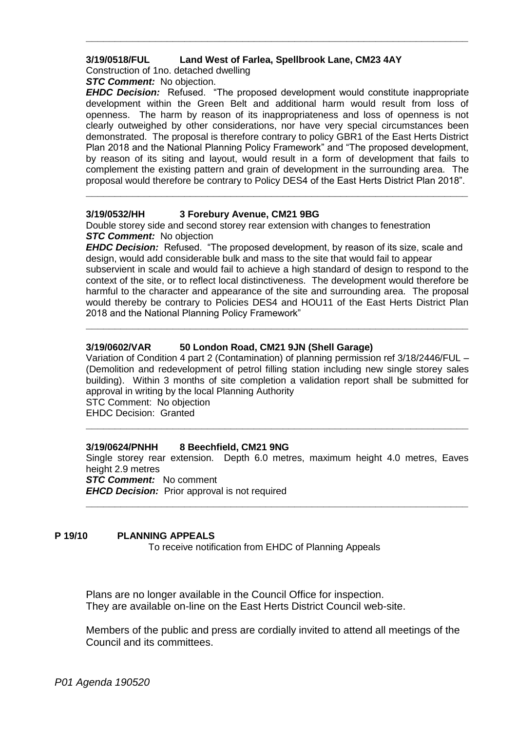#### **3/19/0518/FUL Land West of Farlea, Spellbrook Lane, CM23 4AY**

Construction of 1no. detached dwelling

**STC Comment:** No objection.

*EHDC Decision:* Refused. "The proposed development would constitute inappropriate development within the Green Belt and additional harm would result from loss of openness. The harm by reason of its inappropriateness and loss of openness is not clearly outweighed by other considerations, nor have very special circumstances been demonstrated. The proposal is therefore contrary to policy GBR1 of the East Herts District Plan 2018 and the National Planning Policy Framework" and "The proposed development, by reason of its siting and layout, would result in a form of development that fails to complement the existing pattern and grain of development in the surrounding area. The proposal would therefore be contrary to Policy DES4 of the East Herts District Plan 2018".

**\_\_\_\_\_\_\_\_\_\_\_\_\_\_\_\_\_\_\_\_\_\_\_\_\_\_\_\_\_\_\_\_\_\_\_\_\_\_\_\_\_\_\_\_\_\_\_\_\_\_\_\_\_\_\_\_\_\_\_\_\_\_\_\_\_\_**

**\_\_\_\_\_\_\_\_\_\_\_\_\_\_\_\_\_\_\_\_\_\_\_\_\_\_\_\_\_\_\_\_\_\_\_\_\_\_\_\_\_\_\_\_\_\_\_\_\_\_\_\_\_\_\_\_\_\_\_\_\_\_\_\_\_\_**

#### **3/19/0532/HH 3 Forebury Avenue, CM21 9BG**

Double storey side and second storey rear extension with changes to fenestration **STC Comment:** No objection

*EHDC Decision:* Refused. "The proposed development, by reason of its size, scale and design, would add considerable bulk and mass to the site that would fail to appear subservient in scale and would fail to achieve a high standard of design to respond to the context of the site, or to reflect local distinctiveness. The development would therefore be harmful to the character and appearance of the site and surrounding area. The proposal would thereby be contrary to Policies DES4 and HOU11 of the East Herts District Plan 2018 and the National Planning Policy Framework"

**\_\_\_\_\_\_\_\_\_\_\_\_\_\_\_\_\_\_\_\_\_\_\_\_\_\_\_\_\_\_\_\_\_\_\_\_\_\_\_\_\_\_\_\_\_\_\_\_\_\_\_\_\_\_\_\_\_\_\_\_\_\_\_\_\_\_**

### **3/19/0602/VAR 50 London Road, CM21 9JN (Shell Garage)**

Variation of Condition 4 part 2 (Contamination) of planning permission ref 3/18/2446/FUL – (Demolition and redevelopment of petrol filling station including new single storey sales building). Within 3 months of site completion a validation report shall be submitted for approval in writing by the local Planning Authority

STC Comment: No objection EHDC Decision: Granted

**\_\_\_\_\_\_\_\_\_\_\_\_\_\_\_\_\_\_\_\_\_\_\_\_\_\_\_\_\_\_\_\_\_\_\_\_\_\_\_\_\_\_\_\_\_\_\_\_\_\_\_\_\_\_\_\_\_\_\_\_\_\_\_\_\_\_**

### **3/19/0624/PNHH 8 Beechfield, CM21 9NG**

Single storey rear extension. Depth 6.0 metres, maximum height 4.0 metres, Eaves height 2.9 metres

**\_\_\_\_\_\_\_\_\_\_\_\_\_\_\_\_\_\_\_\_\_\_\_\_\_\_\_\_\_\_\_\_\_\_\_\_\_\_\_\_\_\_\_\_\_\_\_\_\_\_\_\_\_\_\_\_\_\_\_\_\_\_\_\_\_\_**

**STC Comment:** No comment *EHCD Decision:* Prior approval is not required

#### **P 19/10 PLANNING APPEALS**

To receive notification from EHDC of Planning Appeals

Plans are no longer available in the Council Office for inspection. They are available on-line on the East Herts District Council web-site.

Members of the public and press are cordially invited to attend all meetings of the Council and its committees.